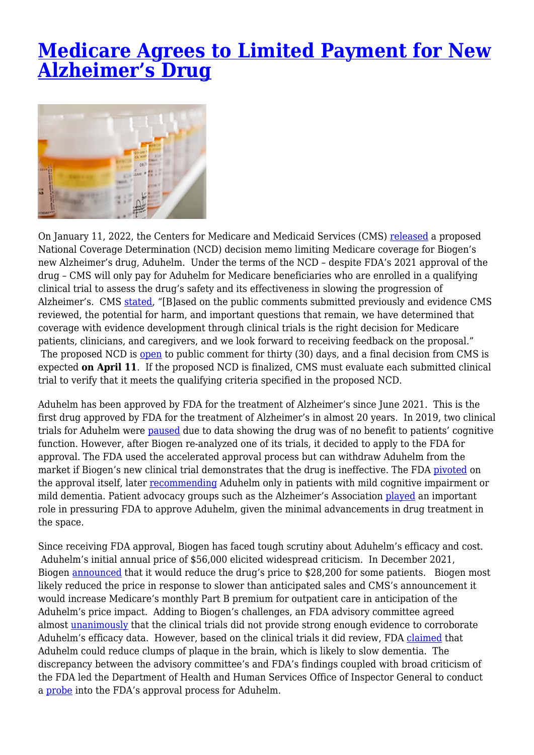## **[Medicare Agrees to Limited Payment for New](https://www.lifesciencesperspectives.com/2022/01/14/medicare-agrees-to-limited-payment-for-new-alzheimers-drug/) [Alzheimer's Drug](https://www.lifesciencesperspectives.com/2022/01/14/medicare-agrees-to-limited-payment-for-new-alzheimers-drug/)**



On January 11, 2022, the Centers for Medicare and Medicaid Services (CMS) [released](https://www.cms.gov/newsroom/press-releases/cms-proposes-medicare-coverage-policy-monoclonal-antibodies-directed-against-amyloid-treatment) a proposed National Coverage Determination (NCD) decision memo limiting Medicare coverage for Biogen's new Alzheimer's drug, Aduhelm. Under the terms of the NCD – despite FDA's 2021 approval of the drug – CMS will only pay for Aduhelm for Medicare beneficiaries who are enrolled in a qualifying clinical trial to assess the drug's safety and its effectiveness in slowing the progression of Alzheimer's. CMS [stated,](https://www.cms.gov/newsroom/press-releases/cms-proposes-medicare-coverage-policy-monoclonal-antibodies-directed-against-amyloid-treatment) "[B]ased on the public comments submitted previously and evidence CMS reviewed, the potential for harm, and important questions that remain, we have determined that coverage with evidence development through clinical trials is the right decision for Medicare patients, clinicians, and caregivers, and we look forward to receiving feedback on the proposal." The proposed NCD is [open](https://www.cms.gov/medicare-coverage-database/search.aspx) to public comment for thirty (30) days, and a final decision from CMS is expected **on April 11**. If the proposed NCD is finalized, CMS must evaluate each submitted clinical trial to verify that it meets the qualifying criteria specified in the proposed NCD.

Aduhelm has been approved by FDA for the treatment of Alzheimer's since June 2021. This is the first drug approved by FDA for the treatment of Alzheimer's in almost 20 years. In 2019, two clinical trials for Aduhelm were [paused](https://www.ajmc.com/view/how-biogen-s-aduhelm-approval-marks-a-precipitous-turning-point-for-the-fda) due to data showing the drug was of no benefit to patients' cognitive function. However, after Biogen re-analyzed one of its trials, it decided to apply to the FDA for approval. The FDA used the accelerated approval process but can withdraw Aduhelm from the market if Biogen's new clinical trial demonstrates that the drug is ineffective. The FDA [pivoted](https://www.accessdata.fda.gov/drugsatfda_docs/label/2021/761178s003lbl.pdf) on the approval itself, later [recommending](https://www.wsj.com/articles/fda-narrows-suggested-uses-for-new-alzheimers-drug-11625759738) Aduhelm only in patients with mild cognitive impairment or mild dementia. Patient advocacy groups such as the Alzheimer's Association [played](https://www.alz.org/alzheimers-dementia/treatments/aducanumab) an important role in pressuring FDA to approve Aduhelm, given the minimal advancements in drug treatment in the space.

Since receiving FDA approval, Biogen has faced tough scrutiny about Aduhelm's efficacy and cost. Aduhelm's initial annual price of \$56,000 elicited widespread criticism. In December 2021, Biogen [announced](https://www.reuters.com/business/healthcare-pharmaceuticals/biogen-cut-price-alzheimers-drug-by-half-2021-12-20/) that it would reduce the drug's price to \$28,200 for some patients. Biogen most likely reduced the price in response to slower than anticipated sales and CMS's announcement it would increase Medicare's monthly Part B premium for outpatient care in anticipation of the Aduhelm's price impact. Adding to Biogen's challenges, an FDA advisory committee agreed almost [unanimously](https://www.fda.gov/media/145690/download) that the clinical trials did not provide strong enough evidence to corroborate Aduhelm's efficacy data. However, based on the clinical trials it did review, FDA [claimed](https://www.fda.gov/drugs/news-events-human-drugs/fdas-decision-approve-new-treatment-alzheimers-disease) that Aduhelm could reduce clumps of plaque in the brain, which is likely to slow dementia. The discrepancy between the advisory committee's and FDA's findings coupled with broad criticism of the FDA led the Department of Health and Human Services Office of Inspector General to conduct a [probe](https://oig.hhs.gov/reports-and-publications/workplan/summary/wp-summary-0000608.asp) into the FDA's approval process for Aduhelm.